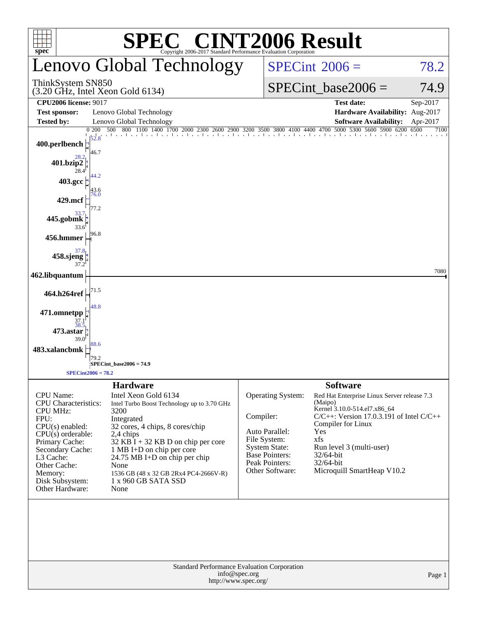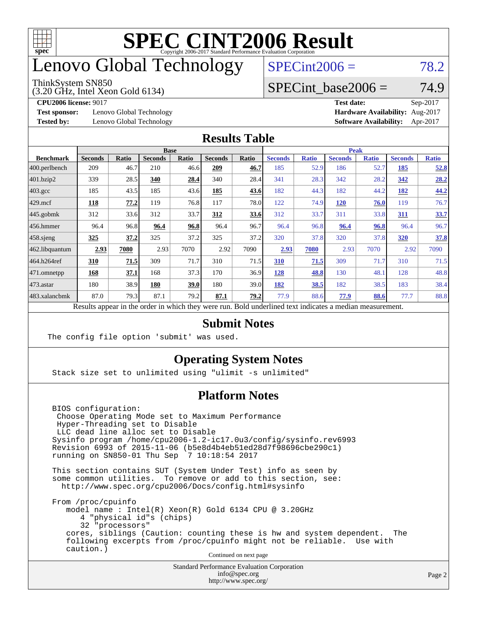

## enovo Global Technology

#### ThinkSystem SN850

(3.20 GHz, Intel Xeon Gold 6134)

 $SPECint2006 = 78.2$  $SPECint2006 = 78.2$ 

#### SPECint base2006 =  $74.9$

**[Test sponsor:](http://www.spec.org/auto/cpu2006/Docs/result-fields.html#Testsponsor)** Lenovo Global Technology **[Hardware Availability:](http://www.spec.org/auto/cpu2006/Docs/result-fields.html#HardwareAvailability)** Aug-2017

**[CPU2006 license:](http://www.spec.org/auto/cpu2006/Docs/result-fields.html#CPU2006license)** 9017 **[Test date:](http://www.spec.org/auto/cpu2006/Docs/result-fields.html#Testdate)** Sep-2017 **[Tested by:](http://www.spec.org/auto/cpu2006/Docs/result-fields.html#Testedby)** Lenovo Global Technology **[Software Availability:](http://www.spec.org/auto/cpu2006/Docs/result-fields.html#SoftwareAvailability)** Apr-2017

#### **[Results Table](http://www.spec.org/auto/cpu2006/Docs/result-fields.html#ResultsTable)**

|                                                                                                          | <b>Base</b>    |       |                |              |                |       | <b>Peak</b>    |              |                |              |                |              |
|----------------------------------------------------------------------------------------------------------|----------------|-------|----------------|--------------|----------------|-------|----------------|--------------|----------------|--------------|----------------|--------------|
| <b>Benchmark</b>                                                                                         | <b>Seconds</b> | Ratio | <b>Seconds</b> | <b>Ratio</b> | <b>Seconds</b> | Ratio | <b>Seconds</b> | <b>Ratio</b> | <b>Seconds</b> | <b>Ratio</b> | <b>Seconds</b> | <b>Ratio</b> |
| 400.perlbench                                                                                            | 209            | 46.7  | 210            | 46.6         | 209            | 46.7  | 185            | 52.9         | 186            | 52.7         | 185            | 52.8         |
| 401.bzip2                                                                                                | 339            | 28.5  | 340            | 28.4         | 340            | 28.4  | 341            | 28.3         | 342            | 28.2         | 342            | 28.2         |
| $403.\mathrm{gcc}$                                                                                       | 185            | 43.5  | 185            | 43.6         | 185            | 43.6  | 182            | 44.3         | 182            | 44.2         | 182            | 44.2         |
| $429$ mcf                                                                                                | 118            | 77.2  | 119            | 76.8         | 117            | 78.0  | 122            | 74.9         | 120            | 76.0         | 119            | 76.7         |
| $445$ .gobmk                                                                                             | 312            | 33.6  | 312            | 33.7         | 312            | 33.6  | 312            | 33.7         | 311            | 33.8         | 311            | 33.7         |
| $456.$ hmmer                                                                                             | 96.4           | 96.8  | 96.4           | 96.8         | 96.4           | 96.7  | 96.4           | 96.8         | 96.4           | 96.8         | 96.4           | 96.7         |
| $458$ .sjeng                                                                                             | <u>325</u>     | 37.2  | 325            | 37.2         | 325            | 37.2  | 320            | 37.8         | 320            | 37.8         | 320            | 37.8         |
| 462.libquantum                                                                                           | 2.93           | 7080  | 2.93           | 7070         | 2.92           | 7090  | 2.93           | 7080         | 2.93           | 7070         | 2.92           | 7090         |
| 464.h264ref                                                                                              | 310            | 71.5  | 309            | 71.7         | 310            | 71.5  | 310            | 71.5         | 309            | 71.7         | 310            | 71.5         |
| $ 471$ .omnetpp                                                                                          | 168            | 37.1  | 168            | 37.3         | 170            | 36.9  | 128            | 48.8         | 130            | 48.1         | 128            | 48.8         |
| $473$ . astar                                                                                            | 180            | 38.9  | 180            | 39.0         | 180            | 39.0  | 182            | 38.5         | 182            | 38.5         | 183            | 38.4         |
| 483.xalancbmk                                                                                            | 87.0           | 79.3  | 87.1           | 79.2         | 87.1           | 79.2  | 77.9           | 88.6         | 77.9           | 88.6         | 77.7           | 88.8         |
| Results appear in the order in which they were run. Bold underlined text indicates a median measurement. |                |       |                |              |                |       |                |              |                |              |                |              |

#### **[Submit Notes](http://www.spec.org/auto/cpu2006/Docs/result-fields.html#SubmitNotes)**

The config file option 'submit' was used.

#### **[Operating System Notes](http://www.spec.org/auto/cpu2006/Docs/result-fields.html#OperatingSystemNotes)**

Stack size set to unlimited using "ulimit -s unlimited"

#### **[Platform Notes](http://www.spec.org/auto/cpu2006/Docs/result-fields.html#PlatformNotes)**

 BIOS configuration: Choose Operating Mode set to Maximum Performance Hyper-Threading set to Disable LLC dead line alloc set to Disable Sysinfo program /home/cpu2006-1.2-ic17.0u3/config/sysinfo.rev6993 Revision 6993 of 2015-11-06 (b5e8d4b4eb51ed28d7f98696cbe290c1) running on SN850-01 Thu Sep 7 10:18:54 2017

 This section contains SUT (System Under Test) info as seen by some common utilities. To remove or add to this section, see: <http://www.spec.org/cpu2006/Docs/config.html#sysinfo>

 From /proc/cpuinfo model name : Intel(R) Xeon(R) Gold 6134 CPU @ 3.20GHz 4 "physical id"s (chips) 32 "processors" cores, siblings (Caution: counting these is hw and system dependent. The following excerpts from /proc/cpuinfo might not be reliable. Use with caution.)

Continued on next page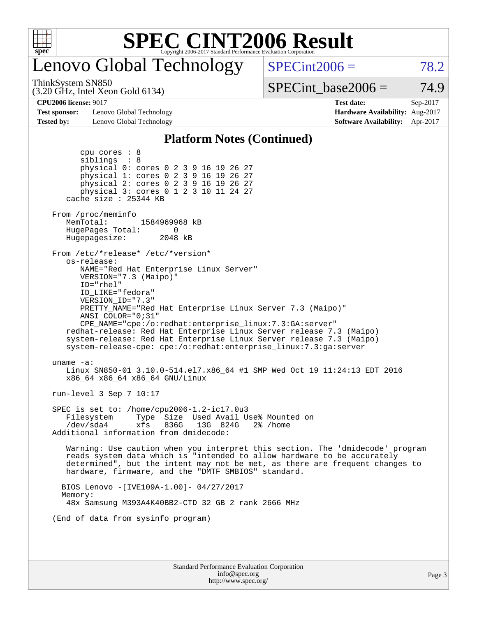

# Lenovo Global Technology

 $SPECint2006 = 78.2$  $SPECint2006 = 78.2$ 

#### ThinkSystem SN850

(3.20 GHz, Intel Xeon Gold 6134)

 $SPECTnt\_base2006 = 74.9$ 

**[Test sponsor:](http://www.spec.org/auto/cpu2006/Docs/result-fields.html#Testsponsor)** Lenovo Global Technology **[Hardware Availability:](http://www.spec.org/auto/cpu2006/Docs/result-fields.html#HardwareAvailability)** Aug-2017 **[Tested by:](http://www.spec.org/auto/cpu2006/Docs/result-fields.html#Testedby)** Lenovo Global Technology **[Software Availability:](http://www.spec.org/auto/cpu2006/Docs/result-fields.html#SoftwareAvailability)** Apr-2017

**[CPU2006 license:](http://www.spec.org/auto/cpu2006/Docs/result-fields.html#CPU2006license)** 9017 **[Test date:](http://www.spec.org/auto/cpu2006/Docs/result-fields.html#Testdate)** Sep-2017

#### **[Platform Notes \(Continued\)](http://www.spec.org/auto/cpu2006/Docs/result-fields.html#PlatformNotes)**

| physical 1: cores 0 2 3 9 16 19 26 27<br>physical 2: cores 0 2 3 9 16 19 26 27<br>physical 3: cores 0 1 2 3 10 11 24 27<br>cache size : 25344 KB<br>From /proc/meminfo<br>MemTotal:<br>1584969968 kB<br>HugePages_Total:<br>$\Omega$<br>Hugepagesize:<br>2048 kB<br>From /etc/*release* /etc/*version*<br>os-release:<br>NAME="Red Hat Enterprise Linux Server"<br>VERSION="7.3 (Maipo)"<br>ID="rhel"<br>ID_LIKE="fedora"<br>VERSION_ID="7.3"<br>PRETTY NAME="Red Hat Enterprise Linux Server 7.3 (Maipo)"<br>ANSI COLOR="0;31"<br>CPE_NAME="cpe:/o:redhat:enterprise_linux:7.3:GA:server"<br>redhat-release: Red Hat Enterprise Linux Server release 7.3 (Maipo)<br>system-release: Red Hat Enterprise Linux Server release 7.3 (Maipo)<br>system-release-cpe: cpe:/o:redhat:enterprise_linux:7.3:ga:server<br>uname $-a$ :<br>Linux SN850-01 3.10.0-514.el7.x86_64 #1 SMP Wed Oct 19 11:24:13 EDT 2016<br>x86_64 x86_64 x86_64 GNU/Linux<br>run-level $3$ Sep $7$ 10:17<br>SPEC is set to: /home/cpu2006-1.2-ic17.0u3<br>Filesystem<br>Type Size Used Avail Use% Mounted on<br>/dev/sda4<br>xfs<br>836G<br>13G 824G<br>2% /home<br>Additional information from dmidecode:<br>Warning: Use caution when you interpret this section. The 'dmidecode' program<br>reads system data which is "intended to allow hardware to be accurately<br>determined", but the intent may not be met, as there are frequent changes to<br>hardware, firmware, and the "DMTF SMBIOS" standard.<br>BIOS Lenovo - [IVE109A-1.00]- 04/27/2017<br>Memory:<br>48x Samsung M393A4K40BB2-CTD 32 GB 2 rank 2666 MHz<br>(End of data from sysinfo program) | Page 3 |
|-----------------------------------------------------------------------------------------------------------------------------------------------------------------------------------------------------------------------------------------------------------------------------------------------------------------------------------------------------------------------------------------------------------------------------------------------------------------------------------------------------------------------------------------------------------------------------------------------------------------------------------------------------------------------------------------------------------------------------------------------------------------------------------------------------------------------------------------------------------------------------------------------------------------------------------------------------------------------------------------------------------------------------------------------------------------------------------------------------------------------------------------------------------------------------------------------------------------------------------------------------------------------------------------------------------------------------------------------------------------------------------------------------------------------------------------------------------------------------------------------------------------------------------------------------------------------------------------------------------------------------------|--------|
|                                                                                                                                                                                                                                                                                                                                                                                                                                                                                                                                                                                                                                                                                                                                                                                                                                                                                                                                                                                                                                                                                                                                                                                                                                                                                                                                                                                                                                                                                                                                                                                                                                   |        |
|                                                                                                                                                                                                                                                                                                                                                                                                                                                                                                                                                                                                                                                                                                                                                                                                                                                                                                                                                                                                                                                                                                                                                                                                                                                                                                                                                                                                                                                                                                                                                                                                                                   |        |
|                                                                                                                                                                                                                                                                                                                                                                                                                                                                                                                                                                                                                                                                                                                                                                                                                                                                                                                                                                                                                                                                                                                                                                                                                                                                                                                                                                                                                                                                                                                                                                                                                                   |        |
|                                                                                                                                                                                                                                                                                                                                                                                                                                                                                                                                                                                                                                                                                                                                                                                                                                                                                                                                                                                                                                                                                                                                                                                                                                                                                                                                                                                                                                                                                                                                                                                                                                   |        |
|                                                                                                                                                                                                                                                                                                                                                                                                                                                                                                                                                                                                                                                                                                                                                                                                                                                                                                                                                                                                                                                                                                                                                                                                                                                                                                                                                                                                                                                                                                                                                                                                                                   |        |
|                                                                                                                                                                                                                                                                                                                                                                                                                                                                                                                                                                                                                                                                                                                                                                                                                                                                                                                                                                                                                                                                                                                                                                                                                                                                                                                                                                                                                                                                                                                                                                                                                                   |        |
|                                                                                                                                                                                                                                                                                                                                                                                                                                                                                                                                                                                                                                                                                                                                                                                                                                                                                                                                                                                                                                                                                                                                                                                                                                                                                                                                                                                                                                                                                                                                                                                                                                   |        |
|                                                                                                                                                                                                                                                                                                                                                                                                                                                                                                                                                                                                                                                                                                                                                                                                                                                                                                                                                                                                                                                                                                                                                                                                                                                                                                                                                                                                                                                                                                                                                                                                                                   |        |
|                                                                                                                                                                                                                                                                                                                                                                                                                                                                                                                                                                                                                                                                                                                                                                                                                                                                                                                                                                                                                                                                                                                                                                                                                                                                                                                                                                                                                                                                                                                                                                                                                                   |        |
|                                                                                                                                                                                                                                                                                                                                                                                                                                                                                                                                                                                                                                                                                                                                                                                                                                                                                                                                                                                                                                                                                                                                                                                                                                                                                                                                                                                                                                                                                                                                                                                                                                   |        |
| cpu cores $: 8$<br>siblings : 8<br>physical 0: cores 0 2 3 9 16 19 26 27                                                                                                                                                                                                                                                                                                                                                                                                                                                                                                                                                                                                                                                                                                                                                                                                                                                                                                                                                                                                                                                                                                                                                                                                                                                                                                                                                                                                                                                                                                                                                          |        |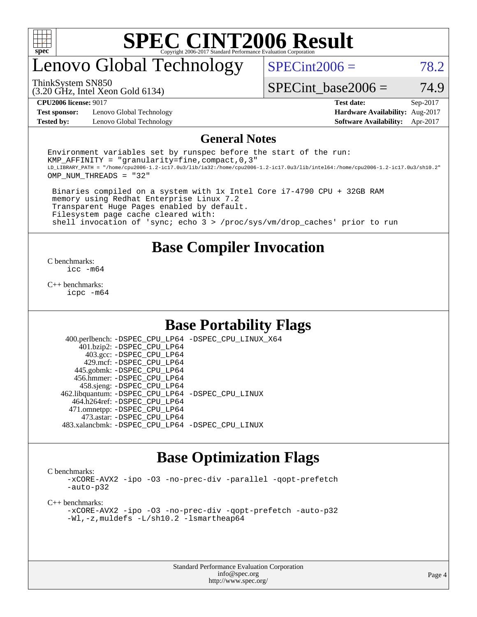

### enovo Global Technology

 $SPECint2006 = 78.2$  $SPECint2006 = 78.2$ 

(3.20 GHz, Intel Xeon Gold 6134) ThinkSystem SN850

SPECint base2006 =  $74.9$ 

**[Test sponsor:](http://www.spec.org/auto/cpu2006/Docs/result-fields.html#Testsponsor)** Lenovo Global Technology **[Hardware Availability:](http://www.spec.org/auto/cpu2006/Docs/result-fields.html#HardwareAvailability)** Aug-2017

**[CPU2006 license:](http://www.spec.org/auto/cpu2006/Docs/result-fields.html#CPU2006license)** 9017 **[Test date:](http://www.spec.org/auto/cpu2006/Docs/result-fields.html#Testdate)** Sep-2017 **[Tested by:](http://www.spec.org/auto/cpu2006/Docs/result-fields.html#Testedby)** Lenovo Global Technology **[Software Availability:](http://www.spec.org/auto/cpu2006/Docs/result-fields.html#SoftwareAvailability)** Apr-2017

#### **[General Notes](http://www.spec.org/auto/cpu2006/Docs/result-fields.html#GeneralNotes)**

Environment variables set by runspec before the start of the run: KMP AFFINITY = "granularity=fine, compact,  $0,3$ " LD\_LIBRARY\_PATH = "/home/cpu2006-1.2-ic17.0u3/lib/ia32:/home/cpu2006-1.2-ic17.0u3/lib/intel64:/home/cpu2006-1.2-ic17.0u3/sh10.2" OMP\_NUM\_THREADS = "32"

 Binaries compiled on a system with 1x Intel Core i7-4790 CPU + 32GB RAM memory using Redhat Enterprise Linux 7.2 Transparent Huge Pages enabled by default. Filesystem page cache cleared with: shell invocation of 'sync; echo 3 > /proc/sys/vm/drop\_caches' prior to run

#### **[Base Compiler Invocation](http://www.spec.org/auto/cpu2006/Docs/result-fields.html#BaseCompilerInvocation)**

[C benchmarks](http://www.spec.org/auto/cpu2006/Docs/result-fields.html#Cbenchmarks): [icc -m64](http://www.spec.org/cpu2006/results/res2017q4/cpu2006-20170918-50006.flags.html#user_CCbase_intel_icc_64bit_bda6cc9af1fdbb0edc3795bac97ada53)

[C++ benchmarks:](http://www.spec.org/auto/cpu2006/Docs/result-fields.html#CXXbenchmarks) [icpc -m64](http://www.spec.org/cpu2006/results/res2017q4/cpu2006-20170918-50006.flags.html#user_CXXbase_intel_icpc_64bit_fc66a5337ce925472a5c54ad6a0de310)

#### **[Base Portability Flags](http://www.spec.org/auto/cpu2006/Docs/result-fields.html#BasePortabilityFlags)**

 400.perlbench: [-DSPEC\\_CPU\\_LP64](http://www.spec.org/cpu2006/results/res2017q4/cpu2006-20170918-50006.flags.html#b400.perlbench_basePORTABILITY_DSPEC_CPU_LP64) [-DSPEC\\_CPU\\_LINUX\\_X64](http://www.spec.org/cpu2006/results/res2017q4/cpu2006-20170918-50006.flags.html#b400.perlbench_baseCPORTABILITY_DSPEC_CPU_LINUX_X64) 401.bzip2: [-DSPEC\\_CPU\\_LP64](http://www.spec.org/cpu2006/results/res2017q4/cpu2006-20170918-50006.flags.html#suite_basePORTABILITY401_bzip2_DSPEC_CPU_LP64) 403.gcc: [-DSPEC\\_CPU\\_LP64](http://www.spec.org/cpu2006/results/res2017q4/cpu2006-20170918-50006.flags.html#suite_basePORTABILITY403_gcc_DSPEC_CPU_LP64) 429.mcf: [-DSPEC\\_CPU\\_LP64](http://www.spec.org/cpu2006/results/res2017q4/cpu2006-20170918-50006.flags.html#suite_basePORTABILITY429_mcf_DSPEC_CPU_LP64) 445.gobmk: [-DSPEC\\_CPU\\_LP64](http://www.spec.org/cpu2006/results/res2017q4/cpu2006-20170918-50006.flags.html#suite_basePORTABILITY445_gobmk_DSPEC_CPU_LP64) 456.hmmer: [-DSPEC\\_CPU\\_LP64](http://www.spec.org/cpu2006/results/res2017q4/cpu2006-20170918-50006.flags.html#suite_basePORTABILITY456_hmmer_DSPEC_CPU_LP64) 458.sjeng: [-DSPEC\\_CPU\\_LP64](http://www.spec.org/cpu2006/results/res2017q4/cpu2006-20170918-50006.flags.html#suite_basePORTABILITY458_sjeng_DSPEC_CPU_LP64) 462.libquantum: [-DSPEC\\_CPU\\_LP64](http://www.spec.org/cpu2006/results/res2017q4/cpu2006-20170918-50006.flags.html#suite_basePORTABILITY462_libquantum_DSPEC_CPU_LP64) [-DSPEC\\_CPU\\_LINUX](http://www.spec.org/cpu2006/results/res2017q4/cpu2006-20170918-50006.flags.html#b462.libquantum_baseCPORTABILITY_DSPEC_CPU_LINUX) 464.h264ref: [-DSPEC\\_CPU\\_LP64](http://www.spec.org/cpu2006/results/res2017q4/cpu2006-20170918-50006.flags.html#suite_basePORTABILITY464_h264ref_DSPEC_CPU_LP64) 471.omnetpp: [-DSPEC\\_CPU\\_LP64](http://www.spec.org/cpu2006/results/res2017q4/cpu2006-20170918-50006.flags.html#suite_basePORTABILITY471_omnetpp_DSPEC_CPU_LP64) 473.astar: [-DSPEC\\_CPU\\_LP64](http://www.spec.org/cpu2006/results/res2017q4/cpu2006-20170918-50006.flags.html#suite_basePORTABILITY473_astar_DSPEC_CPU_LP64) 483.xalancbmk: [-DSPEC\\_CPU\\_LP64](http://www.spec.org/cpu2006/results/res2017q4/cpu2006-20170918-50006.flags.html#suite_basePORTABILITY483_xalancbmk_DSPEC_CPU_LP64) [-DSPEC\\_CPU\\_LINUX](http://www.spec.org/cpu2006/results/res2017q4/cpu2006-20170918-50006.flags.html#b483.xalancbmk_baseCXXPORTABILITY_DSPEC_CPU_LINUX)

### **[Base Optimization Flags](http://www.spec.org/auto/cpu2006/Docs/result-fields.html#BaseOptimizationFlags)**

[C benchmarks](http://www.spec.org/auto/cpu2006/Docs/result-fields.html#Cbenchmarks):

[-xCORE-AVX2](http://www.spec.org/cpu2006/results/res2017q4/cpu2006-20170918-50006.flags.html#user_CCbase_f-xCORE-AVX2) [-ipo](http://www.spec.org/cpu2006/results/res2017q4/cpu2006-20170918-50006.flags.html#user_CCbase_f-ipo) [-O3](http://www.spec.org/cpu2006/results/res2017q4/cpu2006-20170918-50006.flags.html#user_CCbase_f-O3) [-no-prec-div](http://www.spec.org/cpu2006/results/res2017q4/cpu2006-20170918-50006.flags.html#user_CCbase_f-no-prec-div) [-parallel](http://www.spec.org/cpu2006/results/res2017q4/cpu2006-20170918-50006.flags.html#user_CCbase_f-parallel) [-qopt-prefetch](http://www.spec.org/cpu2006/results/res2017q4/cpu2006-20170918-50006.flags.html#user_CCbase_f-qopt-prefetch) [-auto-p32](http://www.spec.org/cpu2006/results/res2017q4/cpu2006-20170918-50006.flags.html#user_CCbase_f-auto-p32)

[C++ benchmarks:](http://www.spec.org/auto/cpu2006/Docs/result-fields.html#CXXbenchmarks)

[-xCORE-AVX2](http://www.spec.org/cpu2006/results/res2017q4/cpu2006-20170918-50006.flags.html#user_CXXbase_f-xCORE-AVX2) [-ipo](http://www.spec.org/cpu2006/results/res2017q4/cpu2006-20170918-50006.flags.html#user_CXXbase_f-ipo) [-O3](http://www.spec.org/cpu2006/results/res2017q4/cpu2006-20170918-50006.flags.html#user_CXXbase_f-O3) [-no-prec-div](http://www.spec.org/cpu2006/results/res2017q4/cpu2006-20170918-50006.flags.html#user_CXXbase_f-no-prec-div) [-qopt-prefetch](http://www.spec.org/cpu2006/results/res2017q4/cpu2006-20170918-50006.flags.html#user_CXXbase_f-qopt-prefetch) [-auto-p32](http://www.spec.org/cpu2006/results/res2017q4/cpu2006-20170918-50006.flags.html#user_CXXbase_f-auto-p32) [-Wl,-z,muldefs](http://www.spec.org/cpu2006/results/res2017q4/cpu2006-20170918-50006.flags.html#user_CXXbase_link_force_multiple1_74079c344b956b9658436fd1b6dd3a8a) [-L/sh10.2 -lsmartheap64](http://www.spec.org/cpu2006/results/res2017q4/cpu2006-20170918-50006.flags.html#user_CXXbase_SmartHeap64_63911d860fc08c15fa1d5bf319b9d8d5)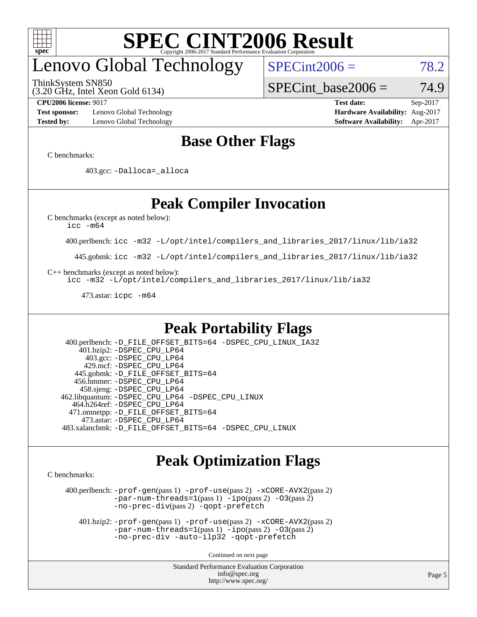

# enovo Global Technology

ThinkSystem SN850

 $SPECint2006 = 78.2$  $SPECint2006 = 78.2$ 

(3.20 GHz, Intel Xeon Gold 6134)

SPECint base2006 =  $74.9$ 

**[Test sponsor:](http://www.spec.org/auto/cpu2006/Docs/result-fields.html#Testsponsor)** Lenovo Global Technology **[Hardware Availability:](http://www.spec.org/auto/cpu2006/Docs/result-fields.html#HardwareAvailability)** Aug-2017 **[Tested by:](http://www.spec.org/auto/cpu2006/Docs/result-fields.html#Testedby)** Lenovo Global Technology **[Software Availability:](http://www.spec.org/auto/cpu2006/Docs/result-fields.html#SoftwareAvailability)** Apr-2017

**[CPU2006 license:](http://www.spec.org/auto/cpu2006/Docs/result-fields.html#CPU2006license)** 9017 **[Test date:](http://www.spec.org/auto/cpu2006/Docs/result-fields.html#Testdate)** Sep-2017

### **[Base Other Flags](http://www.spec.org/auto/cpu2006/Docs/result-fields.html#BaseOtherFlags)**

[C benchmarks](http://www.spec.org/auto/cpu2006/Docs/result-fields.html#Cbenchmarks):

403.gcc: [-Dalloca=\\_alloca](http://www.spec.org/cpu2006/results/res2017q4/cpu2006-20170918-50006.flags.html#b403.gcc_baseEXTRA_CFLAGS_Dalloca_be3056838c12de2578596ca5467af7f3)

### **[Peak Compiler Invocation](http://www.spec.org/auto/cpu2006/Docs/result-fields.html#PeakCompilerInvocation)**

[C benchmarks \(except as noted below\)](http://www.spec.org/auto/cpu2006/Docs/result-fields.html#Cbenchmarksexceptasnotedbelow):

[icc -m64](http://www.spec.org/cpu2006/results/res2017q4/cpu2006-20170918-50006.flags.html#user_CCpeak_intel_icc_64bit_bda6cc9af1fdbb0edc3795bac97ada53)

400.perlbench: [icc -m32 -L/opt/intel/compilers\\_and\\_libraries\\_2017/linux/lib/ia32](http://www.spec.org/cpu2006/results/res2017q4/cpu2006-20170918-50006.flags.html#user_peakCCLD400_perlbench_intel_icc_c29f3ff5a7ed067b11e4ec10a03f03ae)

445.gobmk: [icc -m32 -L/opt/intel/compilers\\_and\\_libraries\\_2017/linux/lib/ia32](http://www.spec.org/cpu2006/results/res2017q4/cpu2006-20170918-50006.flags.html#user_peakCCLD445_gobmk_intel_icc_c29f3ff5a7ed067b11e4ec10a03f03ae)

[C++ benchmarks \(except as noted below\):](http://www.spec.org/auto/cpu2006/Docs/result-fields.html#CXXbenchmarksexceptasnotedbelow)

[icc -m32 -L/opt/intel/compilers\\_and\\_libraries\\_2017/linux/lib/ia32](http://www.spec.org/cpu2006/results/res2017q4/cpu2006-20170918-50006.flags.html#user_CXXpeak_intel_icc_c29f3ff5a7ed067b11e4ec10a03f03ae)

473.astar: [icpc -m64](http://www.spec.org/cpu2006/results/res2017q4/cpu2006-20170918-50006.flags.html#user_peakCXXLD473_astar_intel_icpc_64bit_fc66a5337ce925472a5c54ad6a0de310)

### **[Peak Portability Flags](http://www.spec.org/auto/cpu2006/Docs/result-fields.html#PeakPortabilityFlags)**

 400.perlbench: [-D\\_FILE\\_OFFSET\\_BITS=64](http://www.spec.org/cpu2006/results/res2017q4/cpu2006-20170918-50006.flags.html#user_peakPORTABILITY400_perlbench_file_offset_bits_64_438cf9856305ebd76870a2c6dc2689ab) [-DSPEC\\_CPU\\_LINUX\\_IA32](http://www.spec.org/cpu2006/results/res2017q4/cpu2006-20170918-50006.flags.html#b400.perlbench_peakCPORTABILITY_DSPEC_CPU_LINUX_IA32) 401.bzip2: [-DSPEC\\_CPU\\_LP64](http://www.spec.org/cpu2006/results/res2017q4/cpu2006-20170918-50006.flags.html#suite_peakPORTABILITY401_bzip2_DSPEC_CPU_LP64) 403.gcc: [-DSPEC\\_CPU\\_LP64](http://www.spec.org/cpu2006/results/res2017q4/cpu2006-20170918-50006.flags.html#suite_peakPORTABILITY403_gcc_DSPEC_CPU_LP64) 429.mcf: [-DSPEC\\_CPU\\_LP64](http://www.spec.org/cpu2006/results/res2017q4/cpu2006-20170918-50006.flags.html#suite_peakPORTABILITY429_mcf_DSPEC_CPU_LP64) 445.gobmk: [-D\\_FILE\\_OFFSET\\_BITS=64](http://www.spec.org/cpu2006/results/res2017q4/cpu2006-20170918-50006.flags.html#user_peakPORTABILITY445_gobmk_file_offset_bits_64_438cf9856305ebd76870a2c6dc2689ab) 456.hmmer: [-DSPEC\\_CPU\\_LP64](http://www.spec.org/cpu2006/results/res2017q4/cpu2006-20170918-50006.flags.html#suite_peakPORTABILITY456_hmmer_DSPEC_CPU_LP64) 458.sjeng: [-DSPEC\\_CPU\\_LP64](http://www.spec.org/cpu2006/results/res2017q4/cpu2006-20170918-50006.flags.html#suite_peakPORTABILITY458_sjeng_DSPEC_CPU_LP64) 462.libquantum: [-DSPEC\\_CPU\\_LP64](http://www.spec.org/cpu2006/results/res2017q4/cpu2006-20170918-50006.flags.html#suite_peakPORTABILITY462_libquantum_DSPEC_CPU_LP64) [-DSPEC\\_CPU\\_LINUX](http://www.spec.org/cpu2006/results/res2017q4/cpu2006-20170918-50006.flags.html#b462.libquantum_peakCPORTABILITY_DSPEC_CPU_LINUX) 464.h264ref: [-DSPEC\\_CPU\\_LP64](http://www.spec.org/cpu2006/results/res2017q4/cpu2006-20170918-50006.flags.html#suite_peakPORTABILITY464_h264ref_DSPEC_CPU_LP64) 471.omnetpp: [-D\\_FILE\\_OFFSET\\_BITS=64](http://www.spec.org/cpu2006/results/res2017q4/cpu2006-20170918-50006.flags.html#user_peakPORTABILITY471_omnetpp_file_offset_bits_64_438cf9856305ebd76870a2c6dc2689ab) 473.astar: [-DSPEC\\_CPU\\_LP64](http://www.spec.org/cpu2006/results/res2017q4/cpu2006-20170918-50006.flags.html#suite_peakPORTABILITY473_astar_DSPEC_CPU_LP64) 483.xalancbmk: [-D\\_FILE\\_OFFSET\\_BITS=64](http://www.spec.org/cpu2006/results/res2017q4/cpu2006-20170918-50006.flags.html#user_peakPORTABILITY483_xalancbmk_file_offset_bits_64_438cf9856305ebd76870a2c6dc2689ab) [-DSPEC\\_CPU\\_LINUX](http://www.spec.org/cpu2006/results/res2017q4/cpu2006-20170918-50006.flags.html#b483.xalancbmk_peakCXXPORTABILITY_DSPEC_CPU_LINUX)

### **[Peak Optimization Flags](http://www.spec.org/auto/cpu2006/Docs/result-fields.html#PeakOptimizationFlags)**

[C benchmarks](http://www.spec.org/auto/cpu2006/Docs/result-fields.html#Cbenchmarks):

 400.perlbench: [-prof-gen](http://www.spec.org/cpu2006/results/res2017q4/cpu2006-20170918-50006.flags.html#user_peakPASS1_CFLAGSPASS1_LDCFLAGS400_perlbench_prof_gen_e43856698f6ca7b7e442dfd80e94a8fc)(pass 1) [-prof-use](http://www.spec.org/cpu2006/results/res2017q4/cpu2006-20170918-50006.flags.html#user_peakPASS2_CFLAGSPASS2_LDCFLAGS400_perlbench_prof_use_bccf7792157ff70d64e32fe3e1250b55)(pass 2) [-xCORE-AVX2](http://www.spec.org/cpu2006/results/res2017q4/cpu2006-20170918-50006.flags.html#user_peakPASS2_CFLAGSPASS2_LDCFLAGS400_perlbench_f-xCORE-AVX2)(pass 2) [-par-num-threads=1](http://www.spec.org/cpu2006/results/res2017q4/cpu2006-20170918-50006.flags.html#user_peakPASS1_CFLAGSPASS1_LDCFLAGS400_perlbench_par_num_threads_786a6ff141b4e9e90432e998842df6c2)(pass 1) [-ipo](http://www.spec.org/cpu2006/results/res2017q4/cpu2006-20170918-50006.flags.html#user_peakPASS2_CFLAGSPASS2_LDCFLAGS400_perlbench_f-ipo)(pass 2) [-O3](http://www.spec.org/cpu2006/results/res2017q4/cpu2006-20170918-50006.flags.html#user_peakPASS2_CFLAGSPASS2_LDCFLAGS400_perlbench_f-O3)(pass 2) [-no-prec-div](http://www.spec.org/cpu2006/results/res2017q4/cpu2006-20170918-50006.flags.html#user_peakPASS2_CFLAGSPASS2_LDCFLAGS400_perlbench_f-no-prec-div)(pass 2) [-qopt-prefetch](http://www.spec.org/cpu2006/results/res2017q4/cpu2006-20170918-50006.flags.html#user_peakCOPTIMIZE400_perlbench_f-qopt-prefetch)

 401.bzip2: [-prof-gen](http://www.spec.org/cpu2006/results/res2017q4/cpu2006-20170918-50006.flags.html#user_peakPASS1_CFLAGSPASS1_LDCFLAGS401_bzip2_prof_gen_e43856698f6ca7b7e442dfd80e94a8fc)(pass 1) [-prof-use](http://www.spec.org/cpu2006/results/res2017q4/cpu2006-20170918-50006.flags.html#user_peakPASS2_CFLAGSPASS2_LDCFLAGS401_bzip2_prof_use_bccf7792157ff70d64e32fe3e1250b55)(pass 2) [-xCORE-AVX2](http://www.spec.org/cpu2006/results/res2017q4/cpu2006-20170918-50006.flags.html#user_peakPASS2_CFLAGSPASS2_LDCFLAGS401_bzip2_f-xCORE-AVX2)(pass 2)  $-par-num-threads=1(pass 1) -ipo(pass 2) -O3(pass 2)$  $-par-num-threads=1(pass 1) -ipo(pass 2) -O3(pass 2)$  $-par-num-threads=1(pass 1) -ipo(pass 2) -O3(pass 2)$  $-par-num-threads=1(pass 1) -ipo(pass 2) -O3(pass 2)$  $-par-num-threads=1(pass 1) -ipo(pass 2) -O3(pass 2)$  $-par-num-threads=1(pass 1) -ipo(pass 2) -O3(pass 2)$ [-no-prec-div](http://www.spec.org/cpu2006/results/res2017q4/cpu2006-20170918-50006.flags.html#user_peakCOPTIMIZEPASS2_CFLAGSPASS2_LDCFLAGS401_bzip2_f-no-prec-div) [-auto-ilp32](http://www.spec.org/cpu2006/results/res2017q4/cpu2006-20170918-50006.flags.html#user_peakCOPTIMIZE401_bzip2_f-auto-ilp32) [-qopt-prefetch](http://www.spec.org/cpu2006/results/res2017q4/cpu2006-20170918-50006.flags.html#user_peakCOPTIMIZE401_bzip2_f-qopt-prefetch)

Continued on next page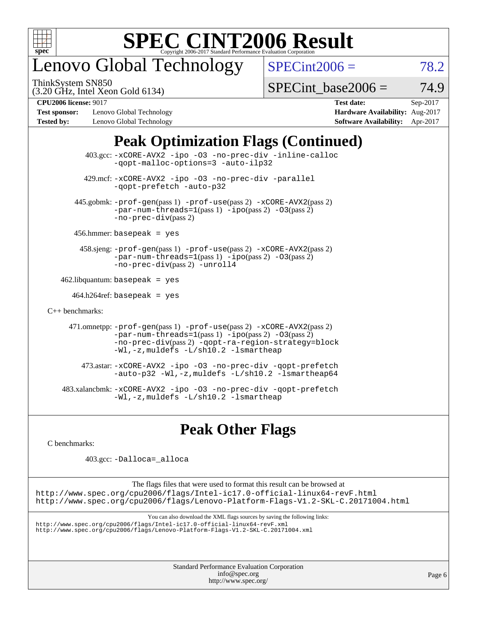

## enovo Global Technology

ThinkSystem SN850

 $SPECint2006 = 78.2$  $SPECint2006 = 78.2$ 

(3.20 GHz, Intel Xeon Gold 6134)

 $SPECTnt\_base2006 = 74.9$ 

**[Test sponsor:](http://www.spec.org/auto/cpu2006/Docs/result-fields.html#Testsponsor)** Lenovo Global Technology **[Hardware Availability:](http://www.spec.org/auto/cpu2006/Docs/result-fields.html#HardwareAvailability)** Aug-2017 **[Tested by:](http://www.spec.org/auto/cpu2006/Docs/result-fields.html#Testedby)** Lenovo Global Technology **[Software Availability:](http://www.spec.org/auto/cpu2006/Docs/result-fields.html#SoftwareAvailability)** Apr-2017

**[CPU2006 license:](http://www.spec.org/auto/cpu2006/Docs/result-fields.html#CPU2006license)** 9017 **[Test date:](http://www.spec.org/auto/cpu2006/Docs/result-fields.html#Testdate)** Sep-2017

### **[Peak Optimization Flags \(Continued\)](http://www.spec.org/auto/cpu2006/Docs/result-fields.html#PeakOptimizationFlags)**

|                      | $403.\text{sec}: -x \text{CORE-AVX2}$ -ipo -03 -no-prec-div -inline-calloc<br>-gopt-malloc-options=3 -auto-ilp32                                                                                                                                   |
|----------------------|----------------------------------------------------------------------------------------------------------------------------------------------------------------------------------------------------------------------------------------------------|
|                      | 429.mcf: -xCORE-AVX2 -ipo -03 -no-prec-div -parallel<br>-gopt-prefetch -auto-p32                                                                                                                                                                   |
|                      | 445.gobmk: -prof-gen(pass 1) -prof-use(pass 2) -xCORE-AVX2(pass 2)<br>$-par-num-threads=1(pass 1) -ipo(pass 2) -03(pass 2)$<br>$-no\text{-}prec\text{-div}(pass 2)$                                                                                |
|                      | $456.$ hmmer: basepeak = yes                                                                                                                                                                                                                       |
|                      | $458 \text{.}$ sjeng: $-\text{prof-gen(pass 1)} - \text{prof-use(pass 2)} - \text{xCORE-AVX2(pass 2)}$<br>$-par-num-threads=1(pass 1) -ipo(pass 2) -03(pass 2)$<br>-no-prec-div(pass 2) -unroll4                                                   |
|                      | $462$ .libquantum: basepeak = yes                                                                                                                                                                                                                  |
|                      | $464.h264 \text{ref}$ : basepeak = yes                                                                                                                                                                                                             |
| $C_{++}$ benchmarks: |                                                                                                                                                                                                                                                    |
|                      | 471.omnetpp: $-$ prof $-$ gen(pass 1) $-$ prof $-$ use(pass 2) $-$ xCORE $-$ AVX2(pass 2)<br>$-par-num-threads=1(pass 1) -ipo(pass 2) -03(pass 2)$<br>-no-prec-div(pass 2) -qopt-ra-region-strategy=block<br>-Wl,-z, muldefs -L/sh10.2 -lsmartheap |
|                      | 473.astar: -xCORE-AVX2 -ipo -03 -no-prec-div -qopt-prefetch<br>$-$ auto-p32 -Wl,-z, muldefs -L/sh10.2 -lsmartheap64                                                                                                                                |
|                      | 483.xalancbmk: -xCORE-AVX2 -ipo -03 -no-prec-div -qopt-prefetch<br>-Wl,-z, muldefs -L/sh10.2 -lsmartheap                                                                                                                                           |

### **[Peak Other Flags](http://www.spec.org/auto/cpu2006/Docs/result-fields.html#PeakOtherFlags)**

[C benchmarks](http://www.spec.org/auto/cpu2006/Docs/result-fields.html#Cbenchmarks):

403.gcc: [-Dalloca=\\_alloca](http://www.spec.org/cpu2006/results/res2017q4/cpu2006-20170918-50006.flags.html#b403.gcc_peakEXTRA_CFLAGS_Dalloca_be3056838c12de2578596ca5467af7f3)

The flags files that were used to format this result can be browsed at <http://www.spec.org/cpu2006/flags/Intel-ic17.0-official-linux64-revF.html> <http://www.spec.org/cpu2006/flags/Lenovo-Platform-Flags-V1.2-SKL-C.20171004.html>

You can also download the XML flags sources by saving the following links:

<http://www.spec.org/cpu2006/flags/Intel-ic17.0-official-linux64-revF.xml> <http://www.spec.org/cpu2006/flags/Lenovo-Platform-Flags-V1.2-SKL-C.20171004.xml>